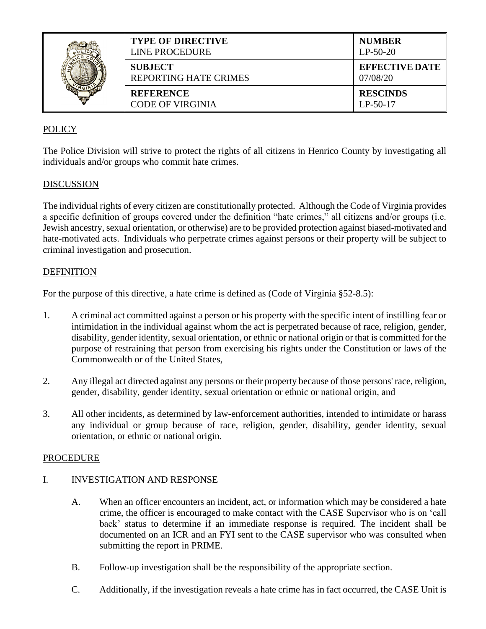|  | <b>TYPE OF DIRECTIVE</b><br>LINE PROCEDURE     | <b>NUMBER</b><br>$LP-50-20$       |
|--|------------------------------------------------|-----------------------------------|
|  | <b>SUBJECT</b><br><b>REPORTING HATE CRIMES</b> | <b>EFFECTIVE DATE</b><br>07/08/20 |
|  | <b>REFERENCE</b><br><b>CODE OF VIRGINIA</b>    | <b>RESCINDS</b><br>$LP-50-17$     |

# POLICY

The Police Division will strive to protect the rights of all citizens in Henrico County by investigating all individuals and/or groups who commit hate crimes.

## DISCUSSION

The individual rights of every citizen are constitutionally protected. Although the Code of Virginia provides a specific definition of groups covered under the definition "hate crimes," all citizens and/or groups (i.e. Jewish ancestry, sexual orientation, or otherwise) are to be provided protection against biased-motivated and hate-motivated acts. Individuals who perpetrate crimes against persons or their property will be subject to criminal investigation and prosecution.

## DEFINITION

For the purpose of this directive, a hate crime is defined as (Code of Virginia §52-8.5):

- 1. A criminal act committed against a person or his property with the specific intent of instilling fear or intimidation in the individual against whom the act is perpetrated because of race, religion, gender, disability, gender identity, sexual orientation, or ethnic or national origin or that is committed for the purpose of restraining that person from exercising his rights under the Constitution or laws of the Commonwealth or of the United States,
- 2. Any illegal act directed against any persons or their property because of those persons' race, religion, gender, disability, gender identity, sexual orientation or ethnic or national origin, and
- 3. All other incidents, as determined by law-enforcement authorities, intended to intimidate or harass any individual or group because of race, religion, gender, disability, gender identity, sexual orientation, or ethnic or national origin.

#### PROCEDURE

## I. INVESTIGATION AND RESPONSE

- A. When an officer encounters an incident, act, or information which may be considered a hate crime, the officer is encouraged to make contact with the CASE Supervisor who is on 'call back' status to determine if an immediate response is required. The incident shall be documented on an ICR and an FYI sent to the CASE supervisor who was consulted when submitting the report in PRIME.
- B. Follow-up investigation shall be the responsibility of the appropriate section.
- C. Additionally, if the investigation reveals a hate crime has in fact occurred, the CASE Unit is